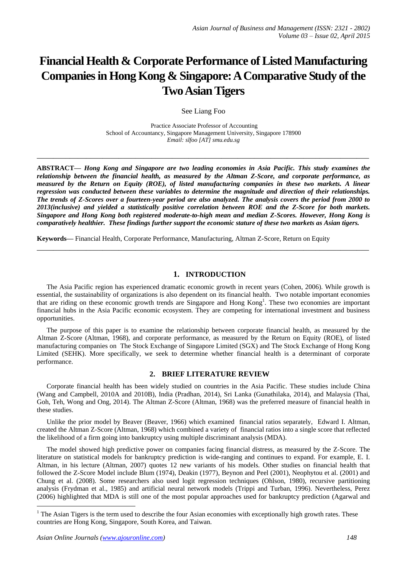# **Financial Health & Corporate Performance of Listed Manufacturing Companies in Hong Kong & Singapore:A Comparative Study of the Two Asian Tigers**

See Liang Foo

Practice Associate Professor of Accounting School of Accountancy, Singapore Management University, Singapore 178900 *Email: slfoo [AT] smu.edu.sg*

**\_\_\_\_\_\_\_\_\_\_\_\_\_\_\_\_\_\_\_\_\_\_\_\_\_\_\_\_\_\_\_\_\_\_\_\_\_\_\_\_\_\_\_\_\_\_\_\_\_\_\_\_\_\_\_\_\_\_\_\_\_\_\_\_\_\_\_\_\_\_\_\_\_\_\_\_\_\_\_\_\_**

**ABSTRACT—** *Hong Kong and Singapore are two leading economies in Asia Pacific. This study examines the relationship between the financial health, as measured by the Altman Z-Score, and corporate performance, as measured by the Return on Equity (ROE), of listed manufacturing companies in these two markets. A linear regression was conducted between these variables to determine the magnitude and direction of their relationships. The trends of Z-Scores over a fourteen-year period are also analyzed. The analysis covers the period from 2000 to 2013(inclusive) and yielded a statistically positive correlation between ROE and the Z-Score for both markets. Singapore and Hong Kong both registered moderate-to-high mean and median Z-Scores. However, Hong Kong is comparatively healthier. These findings further support the economic stature of these two markets as Asian tigers.* 

**\_\_\_\_\_\_\_\_\_\_\_\_\_\_\_\_\_\_\_\_\_\_\_\_\_\_\_\_\_\_\_\_\_\_\_\_\_\_\_\_\_\_\_\_\_\_\_\_\_\_\_\_\_\_\_\_\_\_\_\_\_\_\_\_\_\_\_\_\_\_\_\_\_\_\_\_\_\_\_\_\_**

**Keywords—** Financial Health, Corporate Performance, Manufacturing, Altman Z-Score, Return on Equity

## **1. INTRODUCTION**

The Asia Pacific region has experienced dramatic economic growth in recent years (Cohen, 2006). While growth is essential, the sustainability of organizations is also dependent on its financial health. Two notable important economies that are riding on these economic growth trends are Singapore and Hong Kong<sup>1</sup>. These two economies are important financial hubs in the Asia Pacific economic ecosystem. They are competing for international investment and business opportunities.

The purpose of this paper is to examine the relationship between corporate financial health, as measured by the Altman Z-Score (Altman, 1968), and corporate performance, as measured by the Return on Equity (ROE), of listed manufacturing companies on The Stock Exchange of Singapore Limited (SGX) and The Stock Exchange of Hong Kong Limited (SEHK). More specifically, we seek to determine whether financial health is a determinant of corporate performance.

#### **2. BRIEF LITERATURE REVIEW**

Corporate financial health has been widely studied on countries in the Asia Pacific. These studies include China (Wang and Campbell, 2010A and 2010B), India (Pradhan, 2014), Sri Lanka (Gunathilaka, 2014), and Malaysia (Thai, Goh, Teh, Wong and Ong, 2014). The Altman Z-Score (Altman, 1968) was the preferred measure of financial health in these studies.

Unlike the prior model by Beaver (Beaver, 1966) which examined financial ratios separately, Edward I. Altman, created the Altman Z-Score (Altman, 1968) which combined a variety of financial ratios into a single score that reflected the likelihood of a firm going into bankruptcy using multiple discriminant analysis (MDA).

The model showed high predictive power on companies facing financial distress, as measured by the Z-Score. The literature on statistical models for bankruptcy prediction is wide-ranging and continues to expand. For example, E. I. Altman, in his lecture (Altman, 2007) quotes 12 new variants of his models. Other studies on financial health that followed the Z-Score Model include Blum (1974), Deakin (1977), Beynon and Peel (2001), Neophytou et al. (2001) and Chung et al. (2008). Some researchers also used logit regression techniques (Ohlson, 1980), recursive partitioning analysis (Frydman et al., 1985) and artificial neural network models (Trippi and Turban, 1996). Nevertheless, Perez (2006) highlighted that MDA is still one of the most popular approaches used for bankruptcy prediction (Agarwal and

1

<sup>&</sup>lt;sup>1</sup> The Asian Tigers is the term used to describe the four Asian economies with exceptionally high [growth](http://en.wikipedia.org/wiki/Economic_growth) rates. These countries are [Hong Kong,](http://en.wikipedia.org/wiki/Economy_of_Hong_Kong) [Singapore,](http://en.wikipedia.org/wiki/Economy_of_Singapore) [South Korea,](http://en.wikipedia.org/wiki/Economy_of_South_Korea) an[d Taiwan.](http://en.wikipedia.org/wiki/Economy_of_Taiwan)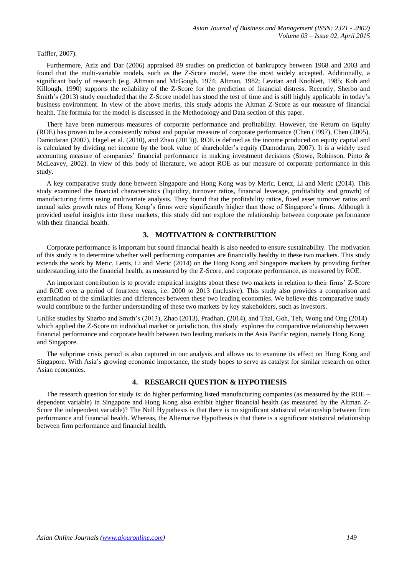#### Taffler, 2007).

Furthermore, Aziz and Dar (2006) appraised 89 studies on prediction of bankruptcy between 1968 and 2003 and found that the multi-variable models, such as the Z-Score model, were the most widely accepted. Additionally, a significant body of research (e.g. Altman and McGough, 1974; Altman, 1982; Levitan and Knoblett, 1985; Koh and Killough, 1990) supports the reliability of the Z-Score for the prediction of financial distress. Recently, Sherbo and Smith's (2013) study concluded that the Z-Score model has stood the test of time and is still highly applicable in today's business environment. In view of the above merits, this study adopts the Altman Z-Score as our measure of financial health. The formula for the model is discussed in the Methodology and Data section of this paper.

There have been numerous measures of corporate performance and profitability. However, the Return on Equity (ROE) has proven to be a consistently robust and popular measure of corporate performance (Chen (1997), Chen (2005), Damodaran (2007), Hagel et al. (2010), and Zhao (2013)). ROE is defined as the income produced on equity capital and is calculated by dividing net income by the book value of shareholder's equity (Damodaran, 2007). It is a widely used accounting measure of companies' financial performance in making investment decisions (Stowe, Robinson, Pinto & McLeavey, 2002). In view of this body of literature, we adopt ROE as our measure of corporate performance in this study.

A key comparative study done between Singapore and Hong Kong was by Meric, Lentz, Li and Meric (2014). This study examined the financial characteristics (liquidity, turnover ratios, financial leverage, profitability and growth) of manufacturing firms using multivariate analysis. They found that the profitability ratios, fixed asset turnover ratios and annual sales growth rates of Hong Kong's firms were significantly higher than those of Singapore's firms. Although it provided useful insights into these markets, this study did not explore the relationship between corporate performance with their financial health.

## **3. MOTIVATION & CONTRIBUTION**

Corporate performance is important but sound financial health is also needed to ensure sustainability. The motivation of this study is to determine whether well performing companies are financially healthy in these two markets. This study extends the work by Meric, Lents, Li and Meric (2014) on the Hong Kong and Singapore markets by providing further understanding into the financial health, as measured by the Z-Score, and corporate performance, as measured by ROE.

An important contribution is to provide empirical insights about these two markets in relation to their firms' Z-Score and ROE over a period of fourteen years, i.e. 2000 to 2013 (inclusive). This study also provides a comparison and examination of the similarities and differences between these two leading economies. We believe this comparative study would contribute to the further understanding of these two markets by key stakeholders, such as investors.

Unlike studies by Sherbo and Smith's (2013), Zhao (2013), Pradhan, (2014), and Thai, Goh, Teh, Wong and Ong (2014) which applied the Z-Score on individual market or jurisdiction, this study explores the comparative relationship between financial performance and corporate health between two leading markets in the Asia Pacific region, namely Hong Kong and Singapore.

The subprime crisis period is also captured in our analysis and allows us to examine its effect on Hong Kong and Singapore. With Asia's growing economic importance, the study hopes to serve as catalyst for similar research on other Asian economies.

# **4. RESEARCH QUESTION & HYPOTHESIS**

The research question for study is: do higher performing listed manufacturing companies (as measured by the ROE – dependent variable) in Singapore and Hong Kong also exhibit higher financial health (as measured by the Altman Z-Score the independent variable)? The Null Hypothesis is that there is no significant statistical relationship between firm performance and financial health. Whereas, the Alternative Hypothesis is that there is a significant statistical relationship between firm performance and financial health.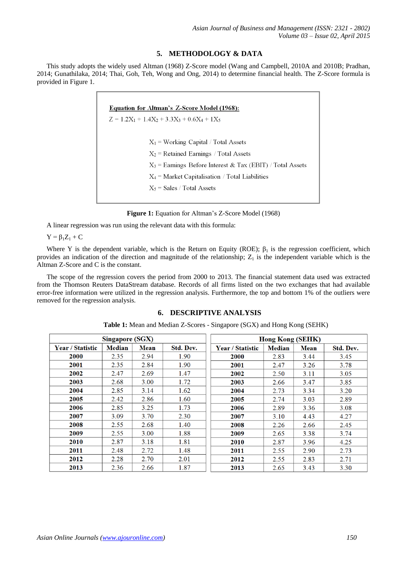## **5. METHODOLOGY & DATA**

This study adopts the widely used Altman (1968) Z-Score model (Wang and Campbell, 2010A and 2010B; Pradhan, 2014; Gunathilaka, 2014; Thai, Goh, Teh, Wong and Ong, 2014) to determine financial health. The Z-Score formula is provided in Figure 1.

| <b>Equation for Altman's Z-Score Model (1968):</b>           |  |  |  |  |  |  |  |  |
|--------------------------------------------------------------|--|--|--|--|--|--|--|--|
| $Z = 1.2X_1 + 1.4X_2 + 3.3X_3 + 0.6X_4 + 1X_5$               |  |  |  |  |  |  |  |  |
|                                                              |  |  |  |  |  |  |  |  |
| $X_1$ = Working Capital / Total Assets                       |  |  |  |  |  |  |  |  |
| $X_2$ = Retained Earnings / Total Assets                     |  |  |  |  |  |  |  |  |
| $X_3$ = Earnings Before Interest & Tax (EBIT) / Total Assets |  |  |  |  |  |  |  |  |
| $X_4$ = Market Capitalisation / Total Liabilities            |  |  |  |  |  |  |  |  |
| $X_5$ = Sales / Total Assets                                 |  |  |  |  |  |  |  |  |
|                                                              |  |  |  |  |  |  |  |  |

**Figure 1:** Equation for Altman's Z-Score Model (1968)

A linear regression was run using the relevant data with this formula:

 $Y = \beta_1 Z_1 + C$ 

Where Y is the dependent variable, which is the Return on Equity (ROE);  $\beta_1$  is the regression coefficient, which provides an indication of the direction and magnitude of the relationship;  $Z_1$  is the independent variable which is the Altman Z-Score and C is the constant.

The scope of the regression covers the period from 2000 to 2013. The financial statement data used was extracted from the Thomson Reuters DataStream database. Records of all firms listed on the two exchanges that had available error-free information were utilized in the regression analysis. Furthermore, the top and bottom 1% of the outliers were removed for the regression analysis.

## **6. DESCRIPTIVE ANALYSIS**

| <b>Singapore (SGX)</b>  |               |      |           | <b>Hong Kong (SEHK)</b> |               |             |           |  |
|-------------------------|---------------|------|-----------|-------------------------|---------------|-------------|-----------|--|
| <b>Year / Statistic</b> | <b>Median</b> | Mean | Std. Dev. | <b>Year / Statistic</b> | <b>Median</b> | <b>Mean</b> | Std. Dev. |  |
| 2000                    | 2.35          | 2.94 | 1.90      | 2000                    | 2.83          | 3.44        | 3.45      |  |
| 2001                    | 2.35          | 2.84 | 1.90      | 2001                    | 2.47          | 3.26        | 3.78      |  |
| 2002                    | 2.47          | 2.69 | 1.47      | 2002                    | 2.50          | 3.11        | 3.05      |  |
| 2003                    | 2.68          | 3.00 | 1.72      | 2003                    | 2.66          | 3.47        | 3.85      |  |
| 2004                    | 2.85          | 3.14 | 1.62      | 2004                    | 2.73          | 3.34        | 3.20      |  |
| 2005                    | 2.42          | 2.86 | 1.60      | 2005                    | 2.74          | 3.03        | 2.89      |  |
| 2006                    | 2.85          | 3.25 | 1.73      | 2006                    | 2.89          | 3.36        | 3.08      |  |
| 2007                    | 3.09          | 3.70 | 2.30      | 2007                    | 3.10          | 4.43        | 4.27      |  |
| 2008                    | 2.55          | 2.68 | 1.40      | 2008                    | 2.26          | 2.66        | 2.45      |  |
| 2009                    | 2.55          | 3.00 | 1.88      | 2009                    | 2.65          | 3.38        | 3.74      |  |
| 2010                    | 2.87          | 3.18 | 1.81      | 2010                    | 2.87          | 3.96        | 4.25      |  |
| 2011                    | 2.48          | 2.72 | 1.48      | 2011                    | 2.55          | 2.90        | 2.73      |  |
| 2012                    | 2.28          | 2.70 | 2.01      | 2012                    | 2.55          | 2.83        | 2.71      |  |
| 2013                    | 2.36          | 2.66 | 1.87      | 2013                    | 2.65          | 3.43        | 3.30      |  |

**Table 1:** Mean and Median Z-Scores - Singapore (SGX) and Hong Kong (SEHK)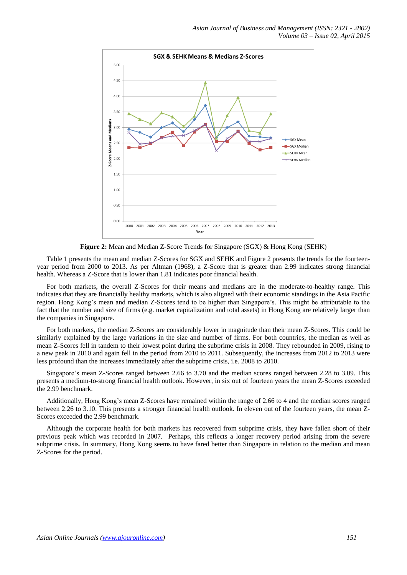

**Figure 2:** Mean and Median Z-Score Trends for Singapore (SGX) & Hong Kong (SEHK)

Table 1 presents the mean and median Z-Scores for SGX and SEHK and Figure 2 presents the trends for the fourteenyear period from 2000 to 2013. As per Altman (1968), a Z-Score that is greater than 2.99 indicates strong financial health. Whereas a Z-Score that is lower than 1.81 indicates poor financial health.

For both markets, the overall Z-Scores for their means and medians are in the moderate-to-healthy range. This indicates that they are financially healthy markets, which is also aligned with their economic standings in the Asia Pacific region. Hong Kong's mean and median Z-Scores tend to be higher than Singapore's. This might be attributable to the fact that the number and size of firms (e.g. market capitalization and total assets) in Hong Kong are relatively larger than the companies in Singapore.

For both markets, the median Z-Scores are considerably lower in magnitude than their mean Z-Scores. This could be similarly explained by the large variations in the size and number of firms. For both countries, the median as well as mean Z-Scores fell in tandem to their lowest point during the subprime crisis in 2008. They rebounded in 2009, rising to a new peak in 2010 and again fell in the period from 2010 to 2011. Subsequently, the increases from 2012 to 2013 were less profound than the increases immediately after the subprime crisis, i.e. 2008 to 2010.

Singapore's mean Z-Scores ranged between 2.66 to 3.70 and the median scores ranged between 2.28 to 3.09. This presents a medium-to-strong financial health outlook. However, in six out of fourteen years the mean Z-Scores exceeded the 2.99 benchmark.

Additionally, Hong Kong's mean Z-Scores have remained within the range of 2.66 to 4 and the median scores ranged between 2.26 to 3.10. This presents a stronger financial health outlook. In eleven out of the fourteen years, the mean Z-Scores exceeded the 2.99 benchmark.

Although the corporate health for both markets has recovered from subprime crisis, they have fallen short of their previous peak which was recorded in 2007. Perhaps, this reflects a longer recovery period arising from the severe subprime crisis. In summary, Hong Kong seems to have fared better than Singapore in relation to the median and mean Z-Scores for the period.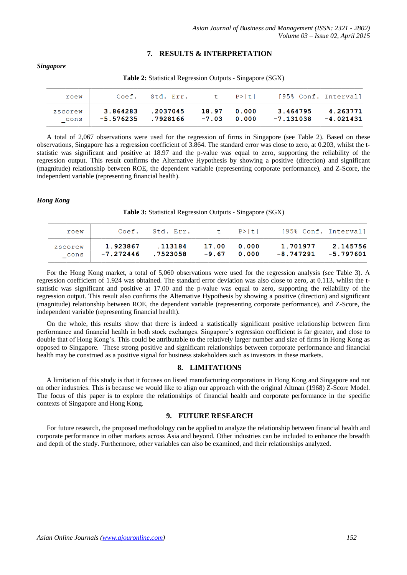## **7. RESULTS & INTERPRETATION**

**Table 2:** Statistical Regression Outputs - Singapore (SGX)  $C \cap F$ Std. Err.  $\ddot{}$  $P > |t|$ [95% Conf. Interval]  $r \cap \bigcap W$ 3.864283 .2037045 18.97  $0.000$ 3.464795 4.263771 zscorew \_cons  $-5.576235$ .7928166  $-7.03$  $0.000$  $-7.131038$  $-4.021431$ 

A total of 2,067 observations were used for the regression of firms in Singapore (see Table 2). Based on these observations, Singapore has a regression coefficient of 3.864. The standard error was close to zero, at 0.203, whilst the tstatistic was significant and positive at 18.97 and the p-value was equal to zero, supporting the reliability of the regression output. This result confirms the Alternative Hypothesis by showing a positive (direction) and significant (magnitude) relationship between ROE, the dependent variable (representing corporate performance), and Z-Score, the

#### *Hong Kong*

independent variable (representing financial health).

*Singapore*

**Table 3:** Statistical Regression Outputs - Singapore (SGX)

| roew            |                         | Coef. Std. Err.     |             | t P>ltl       | [95% Conf. Interval]  |                       |
|-----------------|-------------------------|---------------------|-------------|---------------|-----------------------|-----------------------|
| zscorew<br>cons | 1.923867<br>$-7.272446$ | .113184<br>.7523058 | 17.00 0.000 | $-9.67$ 0.000 | 1.701977<br>-8.747291 | 2.145756<br>-5.797601 |

For the Hong Kong market, a total of 5,060 observations were used for the regression analysis (see Table 3). A regression coefficient of 1.924 was obtained. The standard error deviation was also close to zero, at 0.113, whilst the tstatistic was significant and positive at 17.00 and the p-value was equal to zero, supporting the reliability of the regression output. This result also confirms the Alternative Hypothesis by showing a positive (direction) and significant (magnitude) relationship between ROE, the dependent variable (representing corporate performance), and Z-Score, the independent variable (representing financial health).

On the whole, this results show that there is indeed a statistically significant positive relationship between firm performance and financial health in both stock exchanges. Singapore's regression coefficient is far greater, and close to double that of Hong Kong's. This could be attributable to the relatively larger number and size of firms in Hong Kong as opposed to Singapore. These strong positive and significant relationships between corporate performance and financial health may be construed as a positive signal for business stakeholders such as investors in these markets.

## **8. LIMITATIONS**

A limitation of this study is that it focuses on listed manufacturing corporations in Hong Kong and Singapore and not on other industries. This is because we would like to align our approach with the original Altman (1968) Z-Score Model. The focus of this paper is to explore the relationships of financial health and corporate performance in the specific contexts of Singapore and Hong Kong.

## **9. FUTURE RESEARCH**

For future research, the proposed methodology can be applied to analyze the relationship between financial health and corporate performance in other markets across Asia and beyond. Other industries can be included to enhance the breadth and depth of the study. Furthermore, other variables can also be examined, and their relationships analyzed.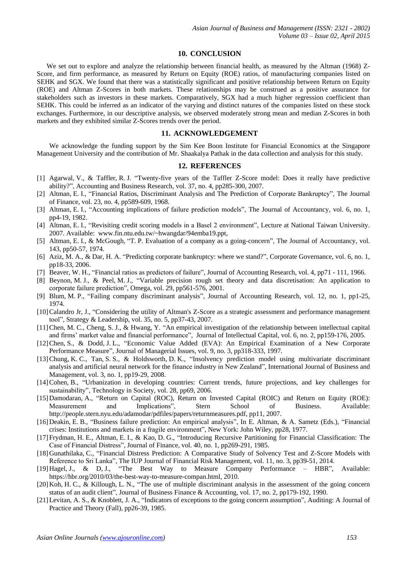#### **10. CONCLUSION**

We set out to explore and analyze the relationship between financial health, as measured by the Altman (1968) Z-Score, and firm performance, as measured by Return on Equity (ROE) ratios, of manufacturing companies listed on SEHK and SGX. We found that there was a statistically significant and positive relationship between Return on Equity (ROE) and Altman Z-Scores in both markets. These relationships may be construed as a positive assurance for stakeholders such as investors in these markets. Comparatively, SGX had a much higher regression coefficient than SEHK. This could be inferred as an indicator of the varying and distinct natures of the companies listed on these stock exchanges. Furthermore, in our descriptive analysis, we observed moderately strong mean and median Z-Scores in both markets and they exhibited similar Z-Scores trends over the period.

## **11. ACKNOWLEDGEMENT**

We acknowledge the funding support by the Sim Kee Boon Institute for Financial Economics at the Singapore Management University and the contribution of Mr. Shaakalya Pathak in the data collection and analysis for this study.

## **12. REFERENCES**

- [1] Agarwal, V., & Taffler, R. J. "Twenty-five years of the Taffler Z-Score model: Does it really have predictive ability?", Accounting and Business Research, vol. 37, no. 4, pp285-300, 2007.
- [2] Altman, E. I., "Financial Ratios, Discriminant Analysis and The Prediction of Corporate Bankruptcy", The Journal of Finance, vol. 23, no. 4, pp589-609, 1968.
- [3] Altman, E. I., "Accounting implications of failure prediction models", The Journal of Accountancy, vol. 6, no. 1, pp4-19, 1982.
- [4] Altman, E. I., "Revisiting credit scoring models in a Basel 2 environment", Lecture at National Taiwan University. 2007. Available: www.fin.ntu.edu.tw/~hwangdar/94emba19.ppt,
- [5] Altman, E. I., & McGough, "T. P. Evaluation of a company as a going-concern", The Journal of Accountancy, vol. 143, pp50-57, 1974.
- [6] Aziz, M. A., & Dar, H. A. "Predicting corporate bankruptcy: where we stand?", Corporate Governance, vol. 6, no. 1, pp18-33, 2006.
- [7] Beaver, W. H., "Financial ratios as predictors of failure", Journal of Accounting Research, vol. 4, pp71 111, 1966.
- [8] Beynon, M. J., & Peel, M. J., "Variable precision rough set theory and data discretisation: An application to corporate failure prediction", Omega, vol. 29, pp561-576, 2001.
- [9] Blum, M. P., "Failing company discriminant analysis", Journal of Accounting Research, vol. 12, no. 1, pp1-25, 1974.
- [10] Calandro Jr, J., "Considering the utility of Altman's Z-Score as a strategic assessment and performance management tool", Strategy & Leadership, vol. 35, no. 5, pp37-43, 2007.
- [11]Chen, M. C., Cheng, S. J., & Hwang, Y. "An empirical investigation of the relationship between intellectual capital and firms' market value and financial performance", Journal of Intellectual Capital, vol. 6, no. 2, pp159-176, 2005.
- [12]Chen, S., & Dodd, J. L., "Economic Value Added (EVA): An Empirical Examination of a New Corporate Performance Measure", Journal of Managerial Issues, vol. 9, no. 3, pp318-333, 1997.
- [13]Chung, K. C., Tan, S. S., & Holdsworth, D. K., "Insolvency prediction model using multivariate discriminant analysis and artificial neural network for the finance industry in New Zealand", International Journal of Business and Management, vol. 3, no. 1, pp19-29, 2008.
- [14]Cohen, B., "Urbanization in developing countries: Current trends, future projections, and key challenges for sustainability", Technology in Society, vol. 28, pp69, 2006.
- [15]Damodaran, A., "Return on Capital (ROC), Return on Invested Capital (ROIC) and Return on Equity (ROE): Measurement and Implications", Stern School of Business. Available: http://people.stern.nyu.edu/adamodar/pdfiles/papers/returnmeasures.pdf, pp11, 2007.
- [16]Deakin, E. B., "Business failure prediction: An empirical analysis", In E. Altman, & A. Sametz (Eds.), "Financial crises: Institutions and markets in a fragile environment", New York: John Wiley, pp28, 1977.
- [17]Frydman, H. E., Altman, E. I., & Kao, D. G., "Introducing Recursive Partitioning for Financial Classification: The Case of Financial Distress", Journal of Finance, vol. 40, no. 1, pp269-291, 1985.
- [18]Gunathilaka, C., "Financial Distress Prediction: A Comparative Study of Solvency Test and Z-Score Models with Reference to Sri Lanka", The IUP Journal of Financial Risk Management, vol. 11, no. 3, pp39-51, 2014.
- [19]Hagel, J., & D, J., "The Best Way to Measure Company Performance HBR", Available: https://hbr.org/2010/03/the-best-way-to-measure-compan.html, 2010.
- [20] Koh, H. C., & Killough, L. N., "The use of multiple discriminant analysis in the assessment of the going concern status of an audit client", Journal of Business Finance & Accounting, vol. 17, no. 2, pp179-192, 1990.
- [21]Levitan, A. S., & Knoblett, J. A., "Indicators of exceptions to the going concern assumption", Auditing: A Journal of Practice and Theory (Fall), pp26-39, 1985.